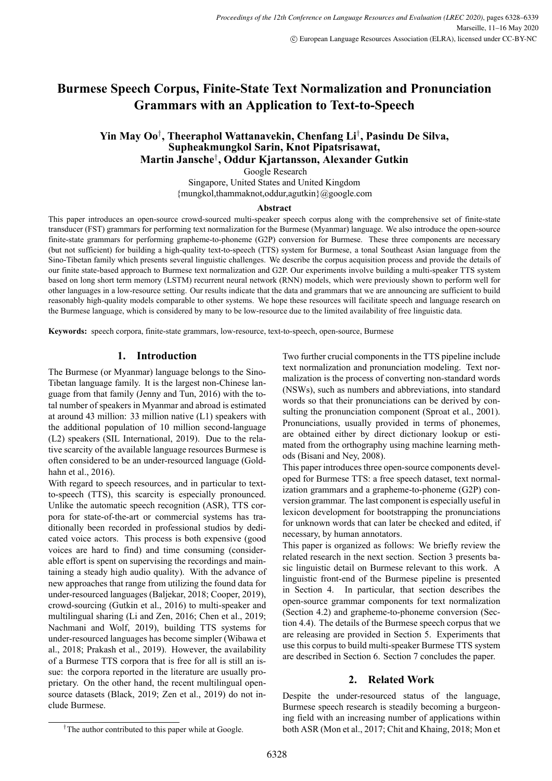# **Burmese Speech Corpus, Finite-State Text Normalization and Pronunciation Grammars with an Application to Text-to-Speech**

# **Yin May Oo***†* **, Theeraphol Wattanavekin, Chenfang Li***†* **, Pasindu De Silva, Supheakmungkol Sarin, Knot Pipatsrisawat, Martin Jansche***†* **, Oddur Kjartansson, Alexander Gutkin**

Google Research

Singapore, United States and United Kingdom {mungkol,thammaknot,oddur,agutkin}@google.com

#### **Abstract**

This paper introduces an open-source crowd-sourced multi-speaker speech corpus along with the comprehensive set of finite-state transducer (FST) grammars for performing text normalization for the Burmese (Myanmar) language. We also introduce the opensource finite-state grammars for performing grapheme-to-phoneme  $(G2P)$  conversion for Burmese. These three components are necessary (but not sufficient) for building a high-quality text-to-speech (TTS) system for Burmese, a tonal Southeast Asian language from the Sino-Tibetan family which presents several linguistic challenges. We describe the corpus acquisition process and provide the details of our finite state-based approach to Burmese text normalization and G2P. Our experiments involve building a multi-speaker TTS system based on long short term memory (LSTM) recurrent neural network (RNN) models, which were previously shown to perform well for other languages in a lowresource setting. Our results indicate that the data and grammars that we are announcing are sufficient to build reasonably high-quality models comparable to other systems. We hope these resources will facilitate speech and language research on the Burmese language, which is considered by many to be lowresource due to the limited availability of free linguistic data.

**Keywords:** speech corpora, finite-state grammars, low-resource, text-to-speech, open-source, Burmese

# **1. Introduction**

The Burmese (or Myanmar) language belongs to the Sino-Tibetan language family. It is the largest non-Chinese language from that family (Jenny and Tun, 2016) with the total number of speakers in Myanmar and abroad is estimated at around 43 million: 33 million native (L1) speakers with the additional population of 10 million second-language (L2) speakers (SIL International, 2019). Due to the relative scarcity of the available language resources Burmese is often considered to be an under-resourced language (Goldhahn et al., 2016).

With regard to speech resources, and in particular to textto-speech (TTS), this scarcity is especially pronounced. Unlike the automatic speech recognition (ASR), TTS corpora for state-of-the-art or commercial systems has traditionally been recorded in professional studios by dedicated voice actors. This process is both expensive (good voices are hard to find) and time consuming (considerable effort is spent on supervising the recordings and maintaining a steady high audio quality). With the advance of new approaches that range from utilizing the found data for under-resourced languages (Baljekar, 2018; Cooper, 2019), crowd-sourcing (Gutkin et al., 2016) to multi-speaker and multilingual sharing (Li and Zen, 2016; Chen et al., 2019; Nachmani and Wolf, 2019), building TTS systems for under-resourced languages has become simpler (Wibawa et al., 2018; Prakash et al., 2019). However, the availability of a Burmese TTS corpora that is free for all is still an issue: the corpora reported in the literature are usually proprietary. On the other hand, the recent multilingual opensource datasets (Black, 2019; Zen et al., 2019) do not include Burmese.

Two further crucial components in the TTS pipeline include text normalization and pronunciation modeling. Text normalization is the process of converting non-standard words (NSWs), such as numbers and abbreviations, into standard words so that their pronunciations can be derived by consulting the pronunciation component (Sproat et al., 2001). Pronunciations, usually provided in terms of phonemes, are obtained either by direct dictionary lookup or estimated from the orthography using machine learning methods (Bisani and Ney, 2008).

This paper introduces three open-source components developed for Burmese TTS: a free speech dataset, text normalization grammars and a grapheme-to-phoneme  $(G2P)$  conversion grammar. The last component is especially useful in lexicon development for bootstrapping the pronunciations for unknown words that can later be checked and edited, if necessary, by human annotators.

This paper is organized as follows: We briefly review the related research in the next section. Section 3 presents basic linguistic detail on Burmese relevant to this work. A linguistic front-end of the Burmese pipeline is presented in Section 4. In particular, that section describes the open-source grammar components for text normalization (Section 4.2) and grapheme-to-phoneme conversion (Section 4.4). The details of the Burmese speech corpus that we are releasing are provided in Section 5. Experiments that use this corpus to build multi-speaker Burmese TTS system are described in Section 6. Section 7 concludes the paper.

# **2. Related Work**

Despite the under-resourced status of the language, Burmese speech research is steadily becoming a burgeoning field with an increasing number of applications within both ASR (Mon et al., 2017; Chit and Khaing, 2018; Mon et

<sup>&</sup>lt;sup>†</sup>The author contributed to this paper while at Google.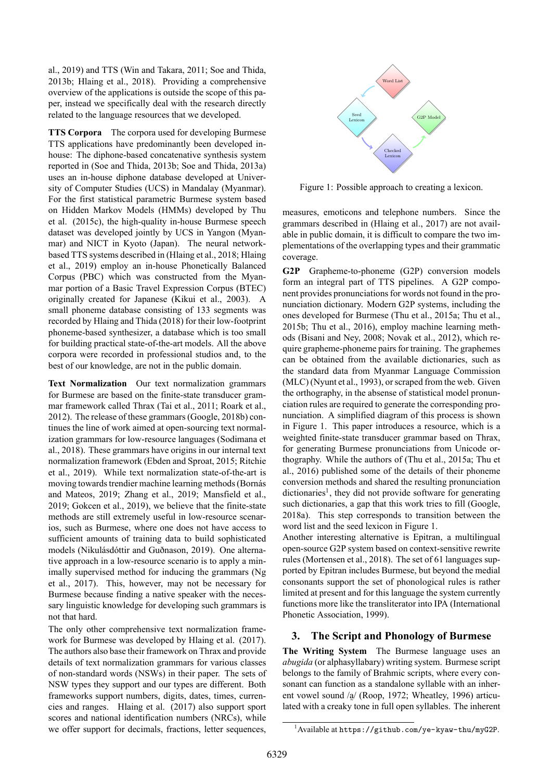al., 2019) and TTS (Win and Takara, 2011; Soe and Thida, 2013b; Hlaing et al., 2018). Providing a comprehensive overview of the applications is outside the scope of this paper, instead we specifically deal with the research directly related to the language resources that we developed.

**TTS Corpora** The corpora used for developing Burmese TTS applications have predominantly been developed inhouse: The diphone-based concatenative synthesis system reported in (Soe and Thida, 2013b; Soe and Thida, 2013a) uses an in-house diphone database developed at University of Computer Studies (UCS) in Mandalay (Myanmar). For the first statistical parametric Burmese system based on Hidden Markov Models (HMMs) developed by Thu et al.  $(2015c)$ , the high-quality in-house Burmese speech dataset was developed jointly by UCS in Yangon (Myanmar) and NICT in Kyoto (Japan). The neural networkbased TTS systems described in (Hlaing et al., 2018; Hlaing et al., 2019) employ an inhouse Phonetically Balanced Corpus (PBC) which was constructed from the Myanmar portion of a Basic Travel Expression Corpus (BTEC) originally created for Japanese (Kikui et al., 2003). A small phoneme database consisting of 133 segments was recorded by Hlaing and Thida (2018) for their low-footprint phonemebased synthesizer, a database which is too small for building practical state-of-the-art models. All the above corpora were recorded in professional studios and, to the best of our knowledge, are not in the public domain.

**Text Normalization** Our text normalization grammars for Burmese are based on the finite-state transducer grammar framework called Thrax (Tai et al., 2011; Roark et al., 2012). The release of these grammars (Google, 2018b) continues the line of work aimed at open-sourcing text normalization grammars for low-resource languages (Sodimana et al., 2018). These grammars have origins in our internal text normalization framework (Ebden and Sproat, 2015; Ritchie et al., 2019). While text normalization state-of-the-art is moving towards trendier machine learning methods (Bornás and Mateos, 2019; Zhang et al., 2019; Mansfield et al., 2019; Gokcen et al., 2019), we believe that the finite-state methods are still extremely useful in low-resource scenarios, such as Burmese, where one does not have access to sufficient amounts of training data to build sophisticated models (Nikulásdóttir and Guðnason, 2019). One alternative approach in a low-resource scenario is to apply a minimally supervised method for inducing the grammars (Ng et al., 2017). This, however, may not be necessary for Burmese because finding a native speaker with the necessary linguistic knowledge for developing such grammars is not that hard.

The only other comprehensive text normalization framework for Burmese was developed by Hlaing et al. (2017). The authors also base their framework on Thrax and provide details of text normalization grammars for various classes of nonstandard words (NSWs) in their paper. The sets of NSW types they support and our types are different. Both frameworks support numbers, digits, dates, times, currencies and ranges. Hlaing et al. (2017) also support sport scores and national identification numbers (NRCs), while we offer support for decimals, fractions, letter sequences,



Figure 1: Possible approach to creating a lexicon.

measures, emoticons and telephone numbers. Since the grammars described in (Hlaing et al., 2017) are not available in public domain, it is difficult to compare the two implementations of the overlapping types and their grammatic coverage.

**G2P** Grapheme-to-phoneme (G2P) conversion models form an integral part of TTS pipelines. A G2P component provides pronunciations for words not found in the pronunciation dictionary. Modern G2P systems, including the ones developed for Burmese (Thu et al., 2015a; Thu et al., 2015b; Thu et al., 2016), employ machine learning methods (Bisani and Ney, 2008; Novak et al., 2012), which require grapheme-phoneme pairs for training. The graphemes can be obtained from the available dictionaries, such as the standard data from Myanmar Language Commission (MLC) (Nyunt et al., 1993), or scraped from the web. Given the orthography, in the absense of statistical model pronunciation rules are required to generate the corresponding pronunciation. A simplified diagram of this process is shown in Figure 1. This paper introduces a resource, which is a weighted finite-state transducer grammar based on Thrax, for generating Burmese pronunciations from Unicode orthography. While the authors of (Thu et al., 2015a; Thu et al., 2016) published some of the details of their phoneme conversion methods and shared the resulting pronunciation dictionaries<sup>1</sup>, they did not provide software for generating such dictionaries, a gap that this work tries to fill (Google, 2018a). This step corresponds to transition between the word list and the seed lexicon in Figure 1.

Another interesting alternative is Epitran, a multilingual open-source G2P system based on context-sensitive rewrite rules (Mortensen et al., 2018). The set of 61 languages supported by Epitran includes Burmese, but beyond the medial consonants support the set of phonological rules is rather limited at present and for this language the system currently functions more like the transliterator into IPA (International Phonetic Association, 1999).

# **3. The Script and Phonology of Burmese**

**The Writing System** The Burmese language uses an *abugida* (or alphasyllabary) writing system. Burmese script belongs to the family of Brahmic scripts, where every consonant can function as a standalone syllable with an inherent vowel sound /a / (Roop, 1972; Wheatley, 1996) articulated with a creaky tone in full open syllables. The inherent

<sup>1</sup>Available at https://github.com/ye-kyaw-thu/myG2P.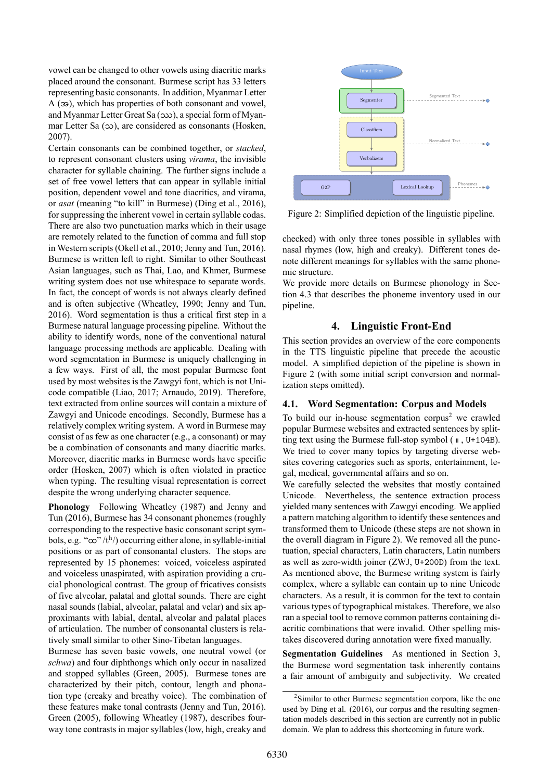vowel can be changed to other vowels using diacritic marks placed around the consonant. Burmese script has 33 letters representing basic consonants. In addition, Myanmar Letter A (အ), which has properties of both consonant and vowel, and Myanmar Letter Great Sa (ဿ), a special form of Myanmar Letter Sa (သ), are considered as consonants (Hosken, 2007).

Certain consonants can be combined together, or *stacked*, to represent consonant clusters using *virama*, the invisible character for syllable chaining. The further signs include a set of free vowel letters that can appear in syllable initial position, dependent vowel and tone diacritics, and virama, or *asat* (meaning "to kill" in Burmese) (Ding et al., 2016), for suppressing the inherent vowel in certain syllable codas. There are also two punctuation marks which in their usage are remotely related to the function of comma and full stop in Western scripts (Okell et al., 2010; Jenny and Tun, 2016). Burmese is written left to right. Similar to other Southeast Asian languages, such as Thai, Lao, and Khmer, Burmese writing system does not use whitespace to separate words. In fact, the concept of words is not always clearly defined and is often subjective (Wheatley, 1990; Jenny and Tun, 2016). Word segmentation is thus a critical first step in a Burmese natural language processing pipeline. Without the ability to identify words, none of the conventional natural language processing methods are applicable. Dealing with word segmentation in Burmese is uniquely challenging in a few ways. First of all, the most popular Burmese font used by most websites is the Zawgyi font, which is not Unicode compatible (Liao, 2017; Arnaudo, 2019). Therefore, text extracted from online sources will contain a mixture of Zawgyi and Unicode encodings. Secondly, Burmese has a relatively complex writing system. A word in Burmese may consist of as few as one character (e.g., a consonant) or may be a combination of consonants and many diacritic marks. Moreover, diacritic marks in Burmese words have specific order (Hosken, 2007) which is often violated in practice when typing. The resulting visual representation is correct despite the wrong underlying character sequence.

**Phonology** Following Wheatley (1987) and Jenny and Tun (2016), Burmese has 34 consonant phonemes (roughly corresponding to the respective basic consonant script symbols, e.g. " $\infty$ "/ $t^h$ /) occurring either alone, in syllable-initial positions or as part of consonantal clusters. The stops are represented by 15 phonemes: voiced, voiceless aspirated and voiceless unaspirated, with aspiration providing a crucial phonological contrast. The group of fricatives consists of five alveolar, palatal and glottal sounds. There are eight nasal sounds (labial, alveolar, palatal and velar) and six approximants with labial, dental, alveolar and palatal places of articulation. The number of consonantal clusters is relatively small similar to other Sino-Tibetan languages.

Burmese has seven basic vowels, one neutral vowel (or *schwa*) and four diphthongs which only occur in nasalized and stopped syllables (Green, 2005). Burmese tones are characterized by their pitch, contour, length and phonation type (creaky and breathy voice). The combination of these features make tonal contrasts (Jenny and Tun, 2016). Green (2005), following Wheatley (1987), describes fourway tone contrasts in major syllables (low, high, creaky and



Figure 2: Simplified depiction of the linguistic pipeline.

checked) with only three tones possible in syllables with nasal rhymes (low, high and creaky). Different tones denote different meanings for syllables with the same phonemic structure.

We provide more details on Burmese phonology in Section 4.3 that describes the phoneme inventory used in our pipeline.

# **4.** Linguistic Front-End

This section provides an overview of the core components in the TTS linguistic pipeline that precede the acoustic model. A simplified depiction of the pipeline is shown in Figure 2 (with some initial script conversion and normalization steps omitted).

# **4.1. Word Segmentation: Corpus and Models**

To build our in-house segmentation corpus<sup>2</sup> we crawled popular Burmese websites and extracted sentences by splitting text using the Burmese full-stop symbol ( $\mu$ , U+104B). We tried to cover many topics by targeting diverse websites covering categories such as sports, entertainment, legal, medical, governmental affairs and so on.

We carefully selected the websites that mostly contained Unicode. Nevertheless, the sentence extraction process yielded many sentences with Zawgyi encoding. We applied a pattern matching algorithm to identify these sentences and transformed them to Unicode (these steps are not shown in the overall diagram in Figure 2). We removed all the punctuation, special characters, Latin characters, Latin numbers as well as zero-width joiner (ZWJ, U+200D) from the text. As mentioned above, the Burmese writing system is fairly complex, where a syllable can contain up to nine Unicode characters. As a result, it is common for the text to contain various types of typographical mistakes. Therefore, we also ran a special tool to remove common patterns containing diacritic combinations that were invalid. Other spelling mistakes discovered during annotation were fixed manually.

**Segmentation Guidelines** As mentioned in Section 3, the Burmese word segmentation task inherently contains a fair amount of ambiguity and subjectivity. We created

<sup>&</sup>lt;sup>2</sup>Similar to other Burmese segmentation corpora, like the one used by Ding et al. (2016), our corpus and the resulting segmentation models described in this section are currently not in public domain. We plan to address this shortcoming in future work.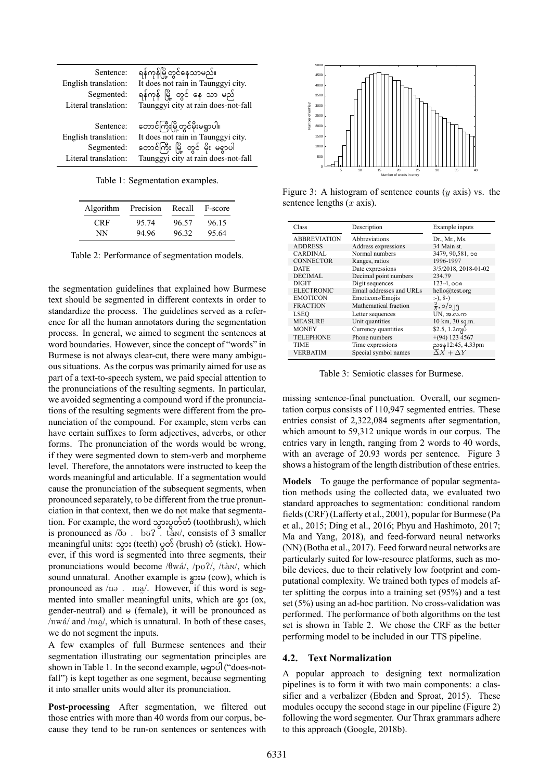| Sentence:                                       | ရန်ကုန်မြို့တွင်နေသာမည်။                                                                                |
|-------------------------------------------------|---------------------------------------------------------------------------------------------------------|
| English translation:                            | It does not rain in Taunggyi city.                                                                      |
| Segmented:                                      | ရန်ကုန် မြို့ တွင် နေ သာ မည်                                                                            |
| Literal translation:                            | Taunggyi city at rain does-not-fall                                                                     |
|                                                 |                                                                                                         |
| Sentence:<br>English translation:<br>Segmented: | တောင်ကြီးမြို့တွင်မိုးမရွာပါ။<br>It does not rain in Taunggyi city.<br>တောင်ကြီး မြို့ တွင် မိုး မရွာပါ |

Table 1: Segmentation examples.

| Algorithm  | Precision | Recall | F-score |  |
|------------|-----------|--------|---------|--|
| <b>CRF</b> | 95.74     | 96.57  | 96.15   |  |
| NN         | 94 96     | 96.32  | 95.64   |  |

Table 2: Performance of segmentation models.

the segmentation guidelines that explained how Burmese text should be segmented in different contexts in order to standardize the process. The guidelines served as a reference for all the human annotators during the segmentation process. In general, we aimed to segment the sentences at word boundaries. However, since the concept of "words" in Burmese is not always clear-cut, there were many ambiguous situations. As the corpus was primarily aimed for use as part of a text-to-speech system, we paid special attention to the pronunciations of the resulting segments. In particular, we avoided segmenting a compound word if the pronunciations of the resulting segments were different from the pronunciation of the compound. For example, stem verbs can have certain suffixes to form adjectives, adverbs, or other forms. The pronunciation of the words would be wrong, if they were segmented down to stem-verb and morpheme level. Therefore, the annotators were instructed to keep the words meaningful and articulable. If a segmentation would cause the pronunciation of the subsequent segments, when pronounced separately, to be different from the true pronunciation in that context, then we do not make that segmentation. For example, the word သွားပွတ်တံ (toothbrush), which is pronounced as  $\partial \Theta$ . bu?  $\check{\cdot}$  tàn/, consists of 3 smaller meaningful units: သွား (teeth) ပွတ် (brush) တံ (stick). However, if this word is segmented into three segments, their pronunciations would become / $\theta w \acute{a}$ /, /pu?/, /tà $N$ , which sound unnatural. Another example is နွားမ (cow), which is pronounced as  $/no$ .  $mq/$ . However, if this word is segmented into smaller meaningful units, which are  $\approx 0.05$ gender-neutral) and  $\omega$  (female), it will be pronounced as  $/mw$  and  $/m<sub>2</sub>$ , which is unnatural. In both of these cases, we do not segment the inputs.

A few examples of full Burmese sentences and their segmentation illustrating our segmentation principles are shown in Table 1. In the second example, မရွာပါ ("does-notfall") is kept together as one segment, because segmenting it into smaller units would alter its pronunciation.

Post-processing After segmentation, we filtered out those entries with more than 40 words from our corpus, because they tend to be run-on sentences or sentences with



Figure 3: A histogram of sentence counts (*y* axis) vs. the sentence lengths (*x* axis).

| Class               | Description              | Example inputs                        |
|---------------------|--------------------------|---------------------------------------|
| <b>ABBREVIATION</b> | Abbreviations            | Dr., Mr., Ms.                         |
| <b>ADDRESS</b>      | Address expressions      | 34 Main st.                           |
| <b>CARDINAL</b>     | Normal numbers           | 3479, 90, 581, 00                     |
| <b>CONNECTOR</b>    | Ranges, ratios           | 1996-1997                             |
| <b>DATE</b>         | Date expressions         | 3/5/2018, 2018-01-02                  |
| <b>DECIMAL</b>      | Decimal point numbers    | 234.79                                |
| <b>DIGIT</b>        | Digit sequences          | $123 - 4,000$                         |
| <b>ELECTRONIC</b>   | Email addresses and URLs | hello@test.org                        |
| <b>EMOTICON</b>     | Emoticons/Emojis         | $(-), 8-$                             |
| <b>FRACTION</b>     | Mathematical fraction    | $\frac{2}{5}$ , ၁/၁၂၅                 |
| <b>LSEO</b>         | Letter sequences         | UN, အ.လ.က                             |
| <b>MEASURE</b>      | Unit quantities          | $10 \text{ km}$ , $30 \text{ sq}$ .m. |
| <b>MONEY</b>        | Currency quantities      | $$2.5, 1.2$ ကျပ်                      |
| <b>TELEPHONE</b>    | Phone numbers            | $+(94)$ 123 4567                      |
| <b>TIME</b>         | Time expressions         | ညနေ12:45, 4.33pm                      |
| <b>VERBATIM</b>     | Special symbol names     | $\overline{\Delta}X + \Delta Y$       |

Table 3: Semiotic classes for Burmese.

missing sentence-final punctuation. Overall, our segmentation corpus consists of 110,947 segmented entries. These entries consist of 2,322,084 segments after segmentation, which amount to 59,312 unique words in our corpus. The entries vary in length, ranging from 2 words to 40 words, with an average of 20.93 words per sentence. Figure 3 shows a histogram of the length distribution of these entries.

**Models** To gauge the performance of popular segmentation methods using the collected data, we evaluated two standard approaches to segmentation: conditional random fields (CRF) (Lafferty et al., 2001), popular for Burmese (Pa et al., 2015; Ding et al., 2016; Phyu and Hashimoto, 2017; Ma and Yang, 2018), and feed-forward neural networks (NN) (Botha et al., 2017). Feed forward neural networks are particularly suited for low-resource platforms, such as mobile devices, due to their relatively low footprint and computational complexity. We trained both types of models after splitting the corpus into a training set (95%) and a test set  $(5\%)$  using an ad-hoc partition. No cross-validation was performed. The performance of both algorithms on the test set is shown in Table 2. We chose the CRF as the better performing model to be included in our TTS pipeline.

# **4.2. Text Normalization**

A popular approach to designing text normalization pipelines is to form it with two main components: a classifier and a verbalizer (Ebden and Sproat, 2015). These modules occupy the second stage in our pipeline (Figure 2) following the word segmenter. Our Thrax grammars adhere to this approach (Google, 2018b).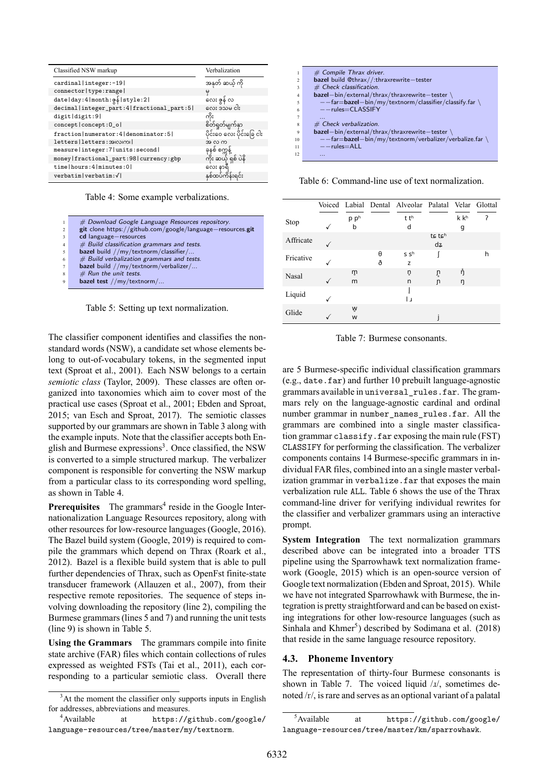| Classified NSW markup                          | Verbalization                                  |
|------------------------------------------------|------------------------------------------------|
| cardinal   integer: -19                        | အနုတ် ဆယ့် ကို                                 |
| connector   type: range                        | မ                                              |
| date   day: 4   month: g §   style: 2          | .<br>လေး ဇွန် လ<br>လေး ဒသမ ငါး                 |
| decimal   integer_part: 4   fractional_part: 5 |                                                |
| digit digit:9                                  | ကိႏ                                            |
| concept   concept: 0_o                         |                                                |
| fraction   numerator: 4   denominator: 5       | စိတ်ရှုတ်မျက်နှာ<br>ပိုင်းဝေ လေး ပိုင်းခြေ ငါး |
| letters   letters: 39100101                    | အ လ က                                          |
| measure   integer: 7   units: second           |                                                |
| money   fractional_part: 98   currency: gbp    | ခုနစ် စက္ကန့်<br>ကိုး ဆယ့် ရှစ် ပဲနိ           |
| time   hours: 4   minutes: 0                   | လေး နာရီ                                       |
| verbatim   verbatim:√                          | နှစ်ထပ်ကိန်းရင်း                               |

Table 4: Some example verbalizations.

| 1                        | # Download Google Language Resources repository.           |
|--------------------------|------------------------------------------------------------|
| 2                        | git clone https://github.com/google/language-resources.git |
| $\overline{\mathbf{3}}$  | cd language-resources                                      |
| $\overline{4}$           | $#$ Build classification grammars and tests.               |
| $\overline{\phantom{a}}$ | bazel build //my/textnorm/classifier/                      |
| 6                        | # Build verbalization grammars and tests.                  |
| $\overline{7}$           | bazel build //my/textnorm/verbalizer/                      |
| 8                        | $#$ Run the unit tests.                                    |
| $\mathbf Q$              | bazel test $//my/textnorm/$                                |
|                          |                                                            |

Table 5: Setting up text normalization.

The classifier component identifies and classifies the nonstandard words (NSW), a candidate set whose elements belong to out-of-vocabulary tokens, in the segmented input text (Sproat et al., 2001). Each NSW belongs to a certain *semiotic class* (Taylor, 2009). These classes are often organized into taxonomies which aim to cover most of the practical use cases (Sproat et al., 2001; Ebden and Sproat, 2015; van Esch and Sproat, 2017). The semiotic classes supported by our grammars are shown in Table 3 along with the example inputs. Note that the classifier accepts both English and Burmese expressions<sup>3</sup>. Once classified, the NSW is converted to a simple structured markup. The verbalizer component is responsible for converting the NSW markup from a particular class to its corresponding word spelling, as shown in Table 4.

**Prerequisites** The grammars<sup>4</sup> reside in the Google Internationalization Language Resources repository, along with other resources for lowresource languages (Google, 2016). The Bazel build system (Google, 2019) is required to compile the grammars which depend on Thrax (Roark et al., 2012). Bazel is a flexible build system that is able to pull further dependencies of Thrax, such as OpenFst finite-state transducer framework (Allauzen et al., 2007), from their respective remote repositories. The sequence of steps involving downloading the repository (line 2), compiling the Burmese grammars (lines 5 and 7) and running the unit tests (line 9) is shown in Table 5.

**Using the Grammars** The grammars compile into finite state archive (FAR) files which contain collections of rules expressed as weighted FSTs (Tai et al., 2011), each corresponding to a particular semiotic class. Overall there

|                          | # Compile Thrax driver.                                        |
|--------------------------|----------------------------------------------------------------|
| $\overline{\mathcal{L}}$ | bazel build @thrax//:thraxrewrite-tester                       |
| 3                        | $#$ Check classification.                                      |
| $\overline{4}$           | bazel-bin/external/thrax/thraxrewrite-tester                   |
| 5                        | $--$ far $=$ bazel $-$ bin/my/textnorm/classifier/classify.far |
| 6                        | $--rules=CLASSIFY$                                             |
|                          |                                                                |
| 8                        | $#$ Check verbalization.                                       |
| 9                        | bazel-bin/external/thrax/thraxrewrite-tester \                 |
| 10                       | --far=bazel-bin/my/textnorm/verbalizer/verbalize.far \         |
| 11                       | $--rules=ALL$                                                  |
| 12.                      |                                                                |

Table 6: Command-line use of text normalization.

|              |      |   | Voiced Labial Dental Alveolar Palatal Velar Glottal |        |      |   |
|--------------|------|---|-----------------------------------------------------|--------|------|---|
| Stop         | p ph |   | t th                                                |        | k kh | ? |
|              | b    |   | d                                                   |        | g    |   |
| Affricate    |      |   |                                                     | ts tsh |      |   |
|              |      |   |                                                     | dz     |      |   |
| Fricative    |      | θ | S S <sup>h</sup>                                    |        |      | h |
|              |      | ð | Z                                                   |        |      |   |
| <b>Nasal</b> | m    |   | ņ                                                   | ù      | ή    |   |
|              | m    |   | n                                                   | n      | η    |   |
|              |      |   |                                                     |        |      |   |
| Liquid       |      |   | ر ا                                                 |        |      |   |
| Glide        | Ŵ    |   |                                                     |        |      |   |
|              | W    |   |                                                     |        |      |   |

Table 7: Burmese consonants.

are 5 Burmese-specific individual classification grammars (e.g., date.far) and further  $10$  prebuilt language-agnostic grammars available in universal\_rules.far. The grammars rely on the language-agnostic cardinal and ordinal number grammar in number\_names\_rules.far. All the grammars are combined into a single master classification grammar classify.far exposing the main rule (FST) CLASSIFY for performing the classification. The verbalizer components contains 14 Burmese-specific grammars in individual FAR files, combined into an a single master verbalization grammar in verbalize.far that exposes the main verbalization rule ALL. Table 6 shows the use of the Thrax command-line driver for verifying individual rewrites for the classifier and verbalizer grammars using an interactive prompt.

**System Integration** The text normalization grammars described above can be integrated into a broader TTS pipeline using the Sparrowhawk text normalization framework (Google, 2015) which is an open-source version of Google text normalization (Ebden and Sproat, 2015). While we have not integrated Sparrowhawk with Burmese, the integration is pretty straightforward and can be based on existing integrations for other low-resource languages (such as Sinhala and Khmer<sup>5</sup>) described by Sodimana et al. (2018) that reside in the same language resource repository.

#### **4.3. Phoneme Inventory**

The representation of thirty-four Burmese consonants is shown in Table 7. The voiced liquid  $\lambda x/$ , sometimes denoted /r/, is rare and serves as an optional variant of a palatal

<sup>&</sup>lt;sup>3</sup>At the moment the classifier only supports inputs in English for addresses, abbreviations and measures.

<sup>4</sup>Available at https://github.com/google/ language-resources/tree/master/my/textnorm.

<sup>5</sup>Available at https://github.com/google/ language-resources/tree/master/km/sparrowhawk.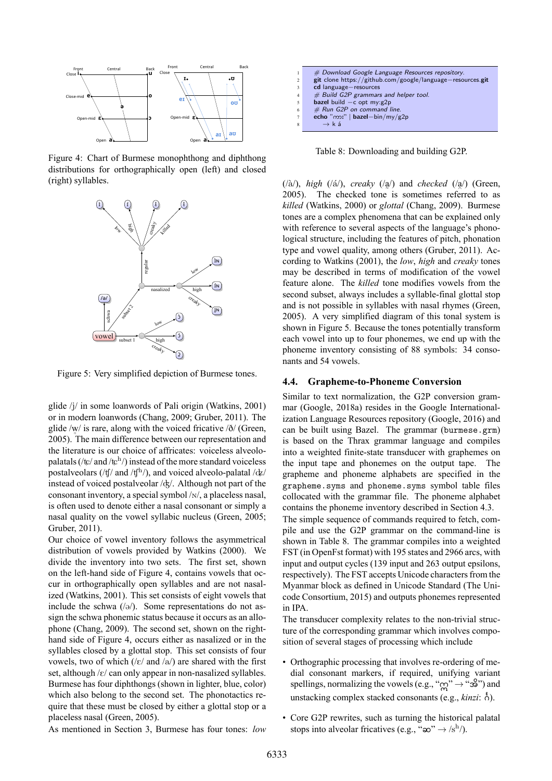

Figure 4: Chart of Burmese monophthong and diphthong distributions for orthographically open (left) and closed (right) syllables.



Figure 5: Very simplified depiction of Burmese tones.

glide /j/ in some loanwords of Pali origin (Watkins, 2001) or in modern loanwords (Chang, 2009; Gruber, 2011). The glide /w / is rare, along with the voiced fricative /ð/ (Green, ˚ 2005). The main difference between our representation and the literature is our choice of affricates: voiceless alveolopalatals (/ $\frac{L}{\sqrt{2}}$  and / $\frac{L}{\sqrt{2}}$ ) instead of the more standard voiceless postalveolars (/tf/ and /tf<sup>h</sup>/), and voiced alveolo-palatal /dz/ instead of voiced postalveolar  $\frac{d}{dx}$ . Although not part of the consonant inventory, a special symbol  $/N$ , a placeless nasal, is often used to denote either a nasal consonant or simply a nasal quality on the vowel syllabic nucleus (Green, 2005; Gruber, 2011).

Our choice of vowel inventory follows the asymmetrical distribution of vowels provided by Watkins (2000). We divide the inventory into two sets. The first set, shown on the left-hand side of Figure 4, contains vowels that occur in orthographically open syllables and are not nasalized (Watkins, 2001). This set consists of eight vowels that include the schwa  $(\sqrt{\theta})$ . Some representations do not assign the schwa phonemic status because it occurs as an allophone (Chang, 2009). The second set, shown on the righthand side of Figure 4, occurs either as nasalized or in the syllables closed by a glottal stop. This set consists of four vowels, two of which  $(|\varepsilon|$  and  $|a|)$  are shared with the first set, although  $/\varepsilon$  can only appear in non-nasalized syllables. Burmese has four diphthongs (shown in lighter, blue, color) which also belong to the second set. The phonotactics require that these must be closed by either a glottal stop or a placeless nasal (Green, 2005).

 *# Download Google Language Resources repository.* **git** clone https://github.com/google/language*−*resources.**git cd** language*−*resources 4 *# Build G2P grammars and helper tool.* **bazel** build *−*c opt my:g2p *# Run G2P on command line.* **echo** "ကား" | **bazel***−*bin/my/g2p <sup>8</sup> *→* k á

Table 8: Downloading and building G2P.

(/`a/), *high* (/´a/), *creaky* (/a /) and *checked* (/a /) (Green,  $(2005)$ . The checked tone is sometimes referred to as *killed* (Watkins, 2000) or *glottal* (Chang, 2009). Burmese tones are a complex phenomena that can be explained only with reference to several aspects of the language's phonological structure, including the features of pitch, phonation type and vowel quality, among others (Gruber, 2011). According to Watkins (2001), the *low*, *high* and *creaky* tones may be described in terms of modification of the vowel feature alone. The *killed* tone modifies vowels from the second subset, always includes a syllable-final glottal stop and is not possible in syllables with nasal rhymes (Green, 2005). A very simplified diagram of this tonal system is shown in Figure 5. Because the tones potentially transform each vowel into up to four phonemes, we end up with the phoneme inventory consisting of 88 symbols: 34 consonants and 54 vowels.

#### **4.4. Grapheme-to-Phoneme Conversion**

Similar to text normalization, the G2P conversion grammar (Google, 2018a) resides in the Google Internationalization Language Resources repository (Google, 2016) and can be built using Bazel. The grammar (burmese.grm) is based on the Thrax grammar language and compiles into a weighted finite-state transducer with graphemes on the input tape and phonemes on the output tape. The grapheme and phoneme alphabets are specified in the grapheme.syms and phoneme.syms symbol table files collocated with the grammar file. The phoneme alphabet contains the phoneme inventory described in Section 4.3. The simple sequence of commands required to fetch, com-

pile and use the G2P grammar on the command-line is shown in Table 8. The grammar compiles into a weighted FST (in OpenFst format) with 195 states and 2966 arcs, with input and output cycles (139 input and 263 output epsilons, respectively). The FST accepts Unicode characters from the Myanmar block as defined in Unicode Standard (The Unicode Consortium, 2015) and outputs phonemes represented in IPA.

The transducer complexity relates to the non-trivial structure of the corresponding grammar which involves composition of several stages of processing which include

- Orthographic processing that involves re-ordering of medial consonant markers, if required, unifying variant spellings, normalizing the vowels (e.g., "ဣ" *→* "အိ") and unstacking complex stacked consonants (e.g., *kinzi*: ဂင်္).
- Core G2P rewrites, such as turning the historical palatal stops into alveolar fricatives (e.g., " $\infty$ "  $\rightarrow$  /s<sup>h</sup>/).

As mentioned in Section 3, Burmese has four tones: *low*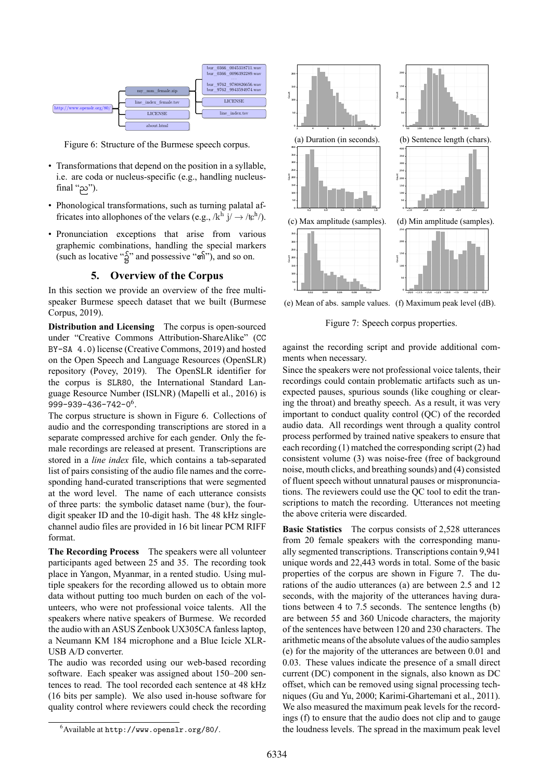

Figure 6: Structure of the Burmese speech corpus.

- Transformations that depend on the position in a syllable, i.e. are coda or nucleus-specific (e.g., handling nucleusfinal "ည").
- Phonological transformations, such as turning palatal affricates into allophones of the velars (e.g.,  $/k^h$  j/  $\rightarrow$  /tch<sup>h</sup>/).
- Pronunciation exceptions that arise from various graphemic combinations, handling the special markers (such as locative "၌" and possessive "၏"), and so on.

## **5. Overview of the Corpus**

In this section we provide an overview of the free multispeaker Burmese speech dataset that we built (Burmese Corpus, 2019).

**Distribution and Licensing** The corpus is open-sourced under "Creative Commons Attribution-ShareAlike" (CC BY-SA 4.0) license (Creative Commons, 2019) and hosted on the Open Speech and Language Resources (OpenSLR) repository (Povey, 2019). The OpenSLR identifier for the corpus is SLR80, the International Standard Language Resource Number (ISLNR) (Mapelli et al., 2016) is  $999 - 939 - 436 - 742 - 0<sup>6</sup>$ .

The corpus structure is shown in Figure 6. Collections of audio and the corresponding transcriptions are stored in a separate compressed archive for each gender. Only the female recordings are released at present. Transcriptions are stored in a *line index* file, which contains a tab-separated list of pairs consisting of the audio file names and the corresponding hand-curated transcriptions that were segmented at the word level. The name of each utterance consists of three parts: the symbolic dataset name (bur), the fourdigit speaker ID and the 10-digit hash. The 48 kHz singlechannel audio files are provided in 16 bit linear PCM RIFF format.

**The Recording Process** The speakers were all volunteer participants aged between 25 and 35. The recording took place in Yangon, Myanmar, in a rented studio. Using multiple speakers for the recording allowed us to obtain more data without putting too much burden on each of the volunteers, who were not professional voice talents. All the speakers where native speakers of Burmese. We recorded the audio with an ASUS Zenbook UX305CA fanless laptop, a Neumann KM 184 microphone and a Blue Icicle XLR-USB A/D converter.

The audio was recorded using our web-based recording software. Each speaker was assigned about 150–200 sentences to read. The tool recorded each sentence at 48 kHz (16 bits per sample). We also used in-house software for quality control where reviewers could check the recording





(e) Mean of abs. sample values. (f) Maximum peak level (dB).

Figure 7: Speech corpus properties.

against the recording script and provide additional comments when necessary.

Since the speakers were not professional voice talents, their recordings could contain problematic artifacts such as unexpected pauses, spurious sounds (like coughing or clearing the throat) and breathy speech. As a result, it was very important to conduct quality control (QC) of the recorded audio data. All recordings went through a quality control process performed by trained native speakers to ensure that each recording (1) matched the corresponding script (2) had consistent volume  $(3)$  was noise-free (free of background noise, mouth clicks, and breathing sounds) and (4) consisted of fluent speech without unnatural pauses or mispronunciations. The reviewers could use the QC tool to edit the transcriptions to match the recording. Utterances not meeting the above criteria were discarded.

**Basic Statistics** The corpus consists of 2,528 utterances from 20 female speakers with the corresponding manually segmented transcriptions. Transcriptions contain 9,941 unique words and 22,443 words in total. Some of the basic properties of the corpus are shown in Figure 7. The durations of the audio utterances (a) are between 2.5 and 12 seconds, with the majority of the utterances having durations between 4 to 7.5 seconds. The sentence lengths (b) are between 55 and 360 Unicode characters, the majority of the sentences have between 120 and 230 characters. The arithmetic means of the absolute values of the audio samples (e) for the majority of the utterances are between 0.01 and 0.03. These values indicate the presence of a small direct current (DC) component in the signals, also known as DC offset, which can be removed using signal processing techniques (Gu and Yu, 2000; Karimi-Ghartemani et al., 2011). We also measured the maximum peak levels for the recordings (f) to ensure that the audio does not clip and to gauge the loudness levels. The spread in the maximum peak level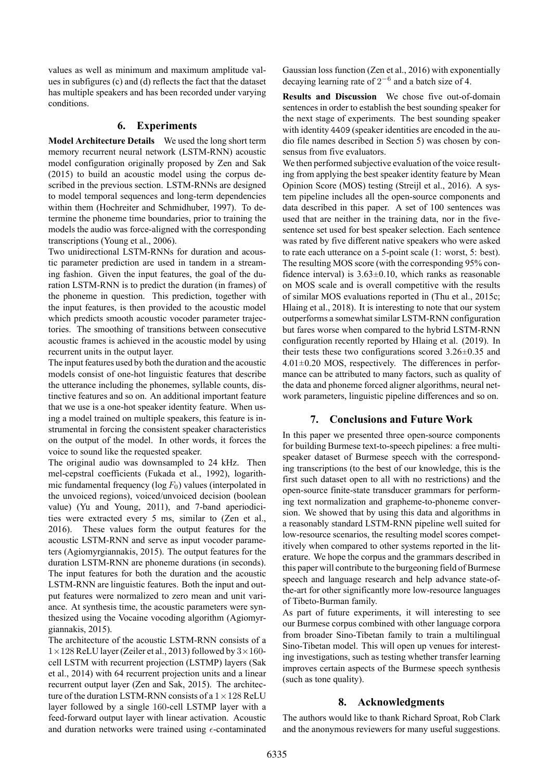values as well as minimum and maximum amplitude values in subfigures (c) and (d) reflects the fact that the dataset has multiple speakers and has been recorded under varying conditions.

## **6. Experiments**

**Model Architecture Details** We used the long short term memory recurrent neural network (LSTM-RNN) acoustic model configuration originally proposed by Zen and Sak (2015) to build an acoustic model using the corpus described in the previous section. LSTM-RNNs are designed to model temporal sequences and long-term dependencies within them (Hochreiter and Schmidhuber, 1997). To determine the phoneme time boundaries, prior to training the models the audio was force-aligned with the corresponding transcriptions (Young et al., 2006).

Two unidirectional LSTM-RNNs for duration and acoustic parameter prediction are used in tandem in a streaming fashion. Given the input features, the goal of the duration LSTM-RNN is to predict the duration (in frames) of the phoneme in question. This prediction, together with the input features, is then provided to the acoustic model which predicts smooth acoustic vocoder parameter trajectories. The smoothing of transitions between consecutive acoustic frames is achieved in the acoustic model by using recurrent units in the output layer.

The input features used by both the duration and the acoustic models consist of one-hot linguistic features that describe the utterance including the phonemes, syllable counts, distinctive features and so on. An additional important feature that we use is a one-hot speaker identity feature. When using a model trained on multiple speakers, this feature is instrumental in forcing the consistent speaker characteristics on the output of the model. In other words, it forces the voice to sound like the requested speaker.

The original audio was downsampled to 24 kHz. Then mel-cepstral coefficients (Fukada et al., 1992), logarithmic fundamental frequency ( $log F_0$ ) values (interpolated in the unvoiced regions), voiced/unvoiced decision (boolean value) (Yu and Young, 2011), and 7-band aperiodicities were extracted every 5 ms, similar to (Zen et al., 2016). These values form the output features for the acoustic LSTM-RNN and serve as input vocoder parameters (Agiomyrgiannakis, 2015). The output features for the duration LSTM-RNN are phoneme durations (in seconds). The input features for both the duration and the acoustic LSTM-RNN are linguistic features. Both the input and output features were normalized to zero mean and unit variance. At synthesis time, the acoustic parameters were synthesized using the Vocaine vocoding algorithm (Agiomyrgiannakis, 2015).

The architecture of the acoustic LSTM-RNN consists of a 1*×*128 ReLU layer (Zeiler et al., 2013) followed by 3*×*160 cell LSTM with recurrent projection (LSTMP) layers (Sak et al., 2014) with 64 recurrent projection units and a linear recurrent output layer (Zen and Sak, 2015). The architecture of the duration LSTM-RNN consists of a  $1 \times 128$  ReLU layer followed by a single 160-cell LSTMP layer with a feed-forward output layer with linear activation. Acoustic and duration networks were trained using  $\epsilon$ -contaminated Gaussian loss function (Zen et al., 2016) with exponentially decaying learning rate of 2 *−*6 and a batch size of 4.

**Results and Discussion** We chose five out-of-domain sentences in order to establish the best sounding speaker for the next stage of experiments. The best sounding speaker with identity 4409 (speaker identities are encoded in the audio file names described in Section 5) was chosen by consensus from five evaluators.

We then performed subjective evaluation of the voice resulting from applying the best speaker identity feature by Mean Opinion Score (MOS) testing (Streijl et al., 2016). A system pipeline includes all the open-source components and data described in this paper. A set of 100 sentences was used that are neither in the training data, nor in the fivesentence set used for best speaker selection. Each sentence was rated by five different native speakers who were asked to rate each utterance on a  $5$ -point scale (1: worst, 5: best). The resulting MOS score (with the corresponding 95% confidence interval) is 3.63*±*0.10, which ranks as reasonable on MOS scale and is overall competitive with the results of similar MOS evaluations reported in (Thu et al., 2015c; Hlaing et al., 2018). It is interesting to note that our system outperforms a somewhat similar LSTM-RNN configuration but fares worse when compared to the hybrid LSTM-RNN configuration recently reported by Hlaing et al. (2019). In their tests these two configurations scored 3.26*±*0.35 and 4.01*±*0.20 MOS, respectively. The differences in performance can be attributed to many factors, such as quality of the data and phoneme forced aligner algorithms, neural network parameters, linguistic pipeline differences and so on.

# **7. Conclusions and Future Work**

In this paper we presented three open-source components for building Burmese text-to-speech pipelines: a free multispeaker dataset of Burmese speech with the corresponding transcriptions (to the best of our knowledge, this is the first such dataset open to all with no restrictions) and the open-source finite-state transducer grammars for performing text normalization and grapheme-to-phoneme conversion. We showed that by using this data and algorithms in a reasonably standard LSTM-RNN pipeline well suited for low-resource scenarios, the resulting model scores competitively when compared to other systems reported in the literature. We hope the corpus and the grammars described in this paper will contribute to the burgeoning field of Burmese speech and language research and help advance state-ofthe-art for other significantly more low-resource languages of Tibeto-Burman family.

As part of future experiments, it will interesting to see our Burmese corpus combined with other language corpora from broader Sino-Tibetan family to train a multilingual Sino-Tibetan model. This will open up venues for interesting investigations, such as testing whether transfer learning improves certain aspects of the Burmese speech synthesis (such as tone quality).

#### **8. Acknowledgments**

The authors would like to thank Richard Sproat, Rob Clark and the anonymous reviewers for many useful suggestions.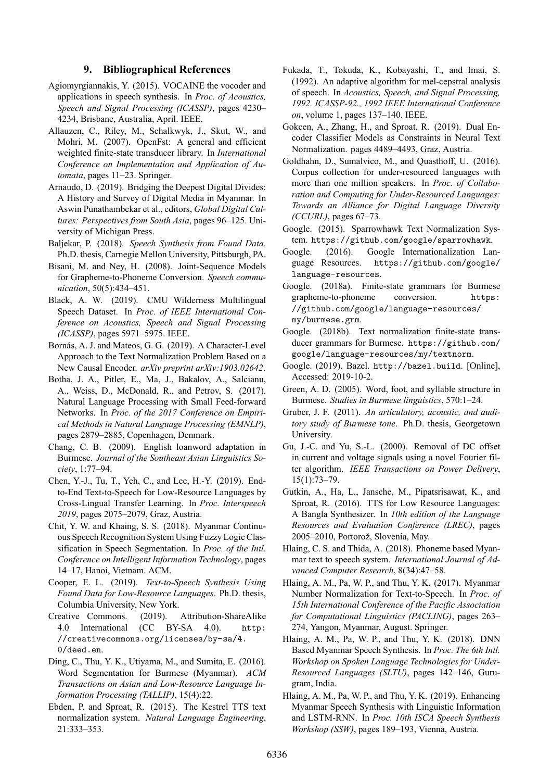## **9. Bibliographical References**

- Agiomyrgiannakis, Y. (2015). VOCAINE the vocoder and applications in speech synthesis. In *Proc. of Acoustics, Speech and Signal Processing (ICASSP)*, pages 4230– 4234, Brisbane, Australia, April. IEEE.
- Allauzen, C., Riley, M., Schalkwyk, J., Skut, W., and Mohri, M. (2007). OpenFst: A general and efficient weighted finite-state transducer library. In *International Conference on Implementation and Application of Automata*, pages 11–23. Springer.
- Arnaudo, D. (2019). Bridging the Deepest Digital Divides: A History and Survey of Digital Media in Myanmar. In Aswin Punathambekar et al., editors, *Global Digital Cultures: Perspectives from South Asia*, pages 96–125. University of Michigan Press.
- Baljekar, P. (2018). *Speech Synthesis from Found Data*. Ph.D. thesis, Carnegie Mellon University, Pittsburgh, PA.
- Bisani, M. and Ney, H. (2008). Joint-Sequence Models for Grapheme-to-Phoneme Conversion. *Speech communication*, 50(5):434–451.
- Black, A. W. (2019). CMU Wilderness Multilingual Speech Dataset. In *Proc. of IEEE International Conference on Acoustics, Speech and Signal Processing (ICASSP)*, pages 5971–5975. IEEE.
- Bornás, A. J. and Mateos, G. G. (2019). A Character-Level Approach to the Text Normalization Problem Based on a New Causal Encoder. *arXiv preprint arXiv:1903.02642*.
- Botha, J. A., Pitler, E., Ma, J., Bakalov, A., Salcianu, A., Weiss, D., McDonald, R., and Petrov, S. (2017). Natural Language Processing with Small Feed-forward Networks. In *Proc. of the 2017 Conference on Empirical Methods in Natural Language Processing (EMNLP)*, pages 2879–2885, Copenhagen, Denmark.
- Chang, C. B. (2009). English loanword adaptation in Burmese. *Journal of the Southeast Asian Linguistics Society*, 1:77–94.
- Chen, Y.J., Tu, T., Yeh, C., and Lee, H.Y. (2019). Endto-End Text-to-Speech for Low-Resource Languages by CrossLingual Transfer Learning. In *Proc. Interspeech 2019*, pages 2075–2079, Graz, Austria.
- Chit, Y. W. and Khaing, S. S. (2018). Myanmar Continuous Speech Recognition System Using Fuzzy Logic Classification in Speech Segmentation. In *Proc. of the Intl. Conference on Intelligent Information Technology*, pages 14–17, Hanoi, Vietnam. ACM.
- Cooper, E. L. (2019). *Text-to-Speech Synthesis Using Found Data for Low-Resource Languages. Ph.D. thesis,* Columbia University, New York.
- Creative Commons. (2019). Attribution-ShareAlike 4.0 International (CC BYSA 4.0). http: //creativecommons.org/licenses/by-sa/4. 0/deed.en.
- Ding, C., Thu, Y. K., Utiyama, M., and Sumita, E. (2016). Word Segmentation for Burmese (Myanmar). *ACM* **Transactions on Asian and Low-Resource Language In***formation Processing (TALLIP)*, 15(4):22.
- Ebden, P. and Sproat, R. (2015). The Kestrel TTS text normalization system. *Natural Language Engineering*, 21:333–353.
- Fukada, T., Tokuda, K., Kobayashi, T., and Imai, S.  $(1992)$ . An adaptive algorithm for mel-cepstral analysis of speech. In *Acoustics, Speech, and Signal Processing, 1992. ICASSP92., 1992 IEEE International Conference on*, volume 1, pages 137–140. IEEE.
- Gokcen, A., Zhang, H., and Sproat, R. (2019). Dual Encoder Classifier Models as Constraints in Neural Text Normalization. pages 4489–4493, Graz, Austria.
- Goldhahn, D., Sumalvico, M., and Quasthoff, U. (2016). Corpus collection for under-resourced languages with more than one million speakers. In *Proc. of Collabo*ration and Computing for Under-Resourced Languages: *Towards an Alliance for Digital Language Diversity (CCURL)*, pages 67–73.
- Google. (2015). Sparrowhawk Text Normalization System. https://github.com/google/sparrowhawk.
- Google. (2016). Google Internationalization Language Resources. https://github.com/google/ language-resources.
- Google. (2018a). Finite-state grammars for Burmese grapheme-to-phoneme conversion. https: //github.com/google/language-resources/ my/burmese.grm.
- Google. (2018b). Text normalization finite-state transducer grammars for Burmese. https://github.com/ google/language-resources/my/textnorm.
- Google. (2019). Bazel. http://bazel.build. [Online], Accessed: 2019-10-2.
- Green, A. D. (2005). Word, foot, and syllable structure in Burmese. *Studies in Burmese linguistics*, 570:1–24.
- Gruber, J. F. (2011). *An articulatory, acoustic, and auditory study of Burmese tone*. Ph.D. thesis, Georgetown University.
- Gu, J.C. and Yu, S.L. (2000). Removal of DC offset in current and voltage signals using a novel Fourier filter algorithm. *IEEE Transactions on Power Delivery*, 15(1):73–79.
- Gutkin, A., Ha, L., Jansche, M., Pipatsrisawat, K., and Sproat, R. (2016). TTS for Low Resource Languages: A Bangla Synthesizer. In *10th edition of the Language Resources and Evaluation Conference (LREC)*, pages 2005–2010, Portorož, Slovenia, May.
- Hlaing, C. S. and Thida, A. (2018). Phoneme based Myanmar text to speech system. *International Journal of Advanced Computer Research*, 8(34):47–58.
- Hlaing, A. M., Pa, W. P., and Thu, Y. K. (2017). Myanmar Number Normalization for Text-to-Speech. In *Proc. of 15th International Conference of the Pacific Association for Computational Linguistics (PACLING)*, pages 263– 274, Yangon, Myanmar, August. Springer.
- Hlaing, A. M., Pa, W. P., and Thu, Y. K. (2018). DNN Based Myanmar Speech Synthesis. In *Proc. The 6th Intl. Workshop on Spoken Language Technologies for Under-Resourced Languages (SLTU)*, pages 142–146, Gurugram, India.
- Hlaing, A. M., Pa, W. P., and Thu, Y. K. (2019). Enhancing Myanmar Speech Synthesis with Linguistic Information and LSTM-RNN. In *Proc. 10th ISCA Speech Synthesis Workshop (SSW)*, pages 189–193, Vienna, Austria.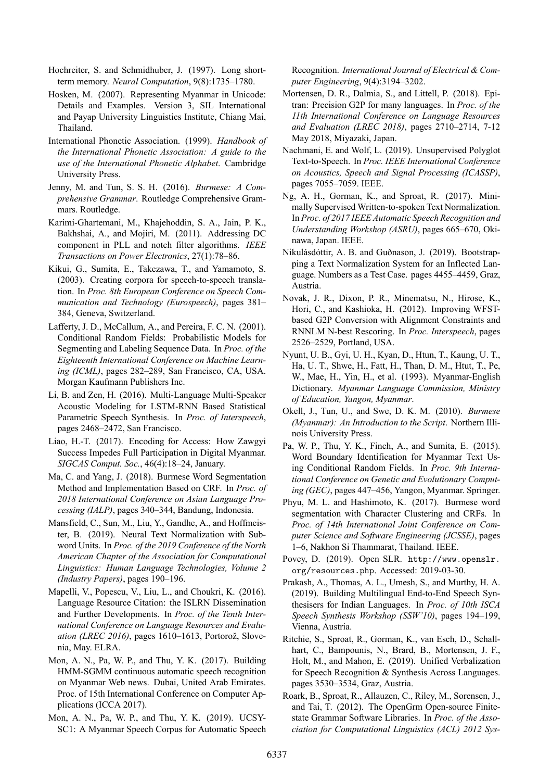Hochreiter, S. and Schmidhuber, J. (1997). Long shortterm memory. *Neural Computation*, 9(8):1735–1780.

- Hosken, M. (2007). Representing Myanmar in Unicode: Details and Examples. Version 3, SIL International and Payap University Linguistics Institute, Chiang Mai, Thailand.
- International Phonetic Association. (1999). *Handbook of the International Phonetic Association: A guide to the use of the International Phonetic Alphabet*. Cambridge University Press.
- Jenny, M. and Tun, S. S. H. (2016). *Burmese: A Comprehensive Grammar*. Routledge Comprehensive Grammars. Routledge.
- KarimiGhartemani, M., Khajehoddin, S. A., Jain, P. K., Bakhshai, A., and Mojiri, M. (2011). Addressing DC component in PLL and notch filter algorithms. *IEEE Transactions on Power Electronics*, 27(1):78–86.
- Kikui, G., Sumita, E., Takezawa, T., and Yamamoto, S.  $(2003)$ . Creating corpora for speech-to-speech translation. In *Proc. 8th European Conference on Speech Communication and Technology (Eurospeech)*, pages 381– 384, Geneva, Switzerland.
- Lafferty, J. D., McCallum, A., and Pereira, F. C. N. (2001). Conditional Random Fields: Probabilistic Models for Segmenting and Labeling Sequence Data. In *Proc. of the Eighteenth International Conference on Machine Learning (ICML)*, pages 282–289, San Francisco, CA, USA. Morgan Kaufmann Publishers Inc.
- Li, B. and Zen, H. (2016). Multi-Language Multi-Speaker Acoustic Modeling for LSTM-RNN Based Statistical Parametric Speech Synthesis. In *Proc. of Interspeech*, pages 2468–2472, San Francisco.
- Liao, H.T. (2017). Encoding for Access: How Zawgyi Success Impedes Full Participation in Digital Myanmar. *SIGCAS Comput. Soc.*, 46(4):18–24, January.
- Ma, C. and Yang, J. (2018). Burmese Word Segmentation Method and Implementation Based on CRF. In *Proc. of 2018 International Conference on Asian Language Processing (IALP)*, pages 340–344, Bandung, Indonesia.
- Mansfield, C., Sun, M., Liu, Y., Gandhe, A., and Hoffmeister, B. (2019). Neural Text Normalization with Subword Units. In *Proc. of the 2019 Conference of the North American Chapter of the Association for Computational Linguistics: Human Language Technologies, Volume 2 (Industry Papers)*, pages 190–196.
- Mapelli, V., Popescu, V., Liu, L., and Choukri, K. (2016). Language Resource Citation: the ISLRN Dissemination and Further Developments. In *Proc. of the Tenth International Conference on Language Resources and Evaluation (LREC 2016)*, pages 1610–1613, Portorož, Slovenia, May. ELRA.
- Mon, A. N., Pa, W. P., and Thu, Y. K. (2017). Building HMMSGMM continuous automatic speech recognition on Myanmar Web news. Dubai, United Arab Emirates. Proc. of 15th International Conference on Computer Applications (ICCA 2017).
- Mon, A. N., Pa, W. P., and Thu, Y. K. (2019). UCSY-SC1: A Myanmar Speech Corpus for Automatic Speech

Recognition. *International Journal of Electrical & Computer Engineering*, 9(4):3194–3202.

- Mortensen, D. R., Dalmia, S., and Littell, P. (2018). Epitran: Precision G2P for many languages. In *Proc. of the 11th International Conference on Language Resources and Evaluation (LREC 2018)*, pages 2710-2714, 7-12 May 2018, Miyazaki, Japan.
- Nachmani, E. and Wolf, L. (2019). Unsupervised Polyglot Text-to-Speech. In *Proc. IEEE International Conference on Acoustics, Speech and Signal Processing (ICASSP)*, pages 7055–7059. IEEE.
- Ng, A. H., Gorman, K., and Sproat, R. (2017). Minimally Supervised Written-to-spoken Text Normalization. In *Proc. of 2017 IEEE Automatic Speech Recognition and Understanding Workshop (ASRU)*, pages 665–670, Okinawa, Japan. IEEE.
- Nikulásdóttir, A. B. and Guðnason, J. (2019). Bootstrapping a Text Normalization System for an Inflected Language. Numbers as a Test Case. pages 4455–4459, Graz, Austria.
- Novak, J. R., Dixon, P. R., Minematsu, N., Hirose, K., Hori, C., and Kashioka, H. (2012). Improving WFSTbased G2P Conversion with Alignment Constraints and RNNLM N-best Rescoring. In *Proc. Interspeech*, pages 2526–2529, Portland, USA.
- Nyunt, U. B., Gyi, U. H., Kyan, D., Htun, T., Kaung, U. T., Ha, U. T., Shwe, H., Fatt, H., Than, D. M., Htut, T., Pe, W., Mae, H., Yin, H., et al. (1993). Myanmar-English Dictionary. *Myanmar Language Commission, Ministry of Education, Yangon, Myanmar*.
- Okell, J., Tun, U., and Swe, D. K. M. (2010). *Burmese (Myanmar): An Introduction to the Script*. Northern Illinois University Press.
- Pa, W. P., Thu, Y. K., Finch, A., and Sumita, E. (2015). Word Boundary Identification for Myanmar Text Using Conditional Random Fields. In *Proc. 9th International Conference on Genetic and Evolutionary Computing (GEC)*, pages 447–456, Yangon, Myanmar. Springer.
- Phyu, M. L. and Hashimoto, K. (2017). Burmese word segmentation with Character Clustering and CRFs. In *Proc. of 14th International Joint Conference on Computer Science and Software Engineering (JCSSE)*, pages 1–6, Nakhon Si Thammarat, Thailand. IEEE.
- Povey, D. (2019). Open SLR. http://www.openslr. org/resources.php. Accessed: 2019-03-30.
- Prakash, A., Thomas, A. L., Umesh, S., and Murthy, H. A. (2019). Building Multilingual End-to-End Speech Synthesisers for Indian Languages. In *Proc. of 10th ISCA Speech Synthesis Workshop (SSW'10)*, pages 194–199, Vienna, Austria.
- Ritchie, S., Sproat, R., Gorman, K., van Esch, D., Schallhart, C., Bampounis, N., Brard, B., Mortensen, J. F., Holt, M., and Mahon, E. (2019). Unified Verbalization for Speech Recognition & Synthesis Across Languages. pages 3530–3534, Graz, Austria.
- Roark, B., Sproat, R., Allauzen, C., Riley, M., Sorensen, J., and Tai, T. (2012). The OpenGrm Open-source Finitestate Grammar Software Libraries. In *Proc. of the Association for Computational Linguistics (ACL) 2012 Sys*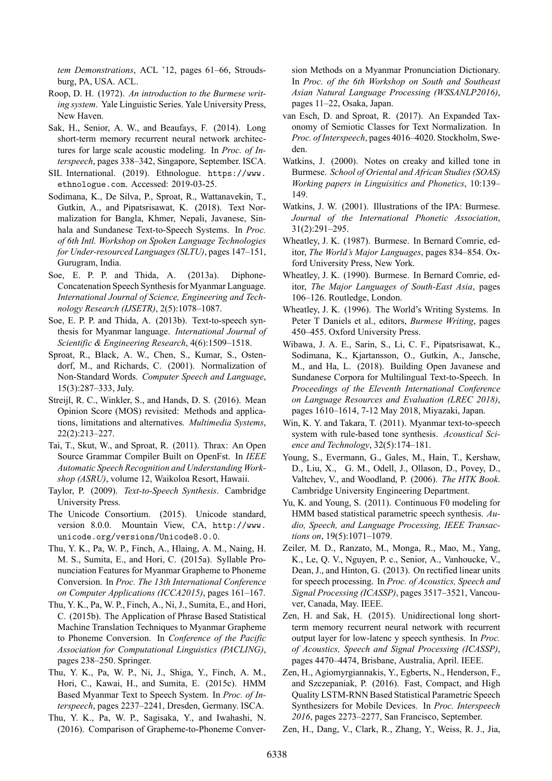*tem Demonstrations*, ACL '12, pages 61–66, Stroudsburg, PA, USA. ACL.

- Roop, D. H. (1972). *An introduction to the Burmese writing system*. Yale Linguistic Series. Yale University Press, New Haven.
- Sak, H., Senior, A. W., and Beaufays, F. (2014). Long short-term memory recurrent neural network architectures for large scale acoustic modeling. In *Proc. of Interspeech*, pages 338–342, Singapore, September. ISCA.
- SIL International. (2019). Ethnologue. https://www. ethnologue.com. Accessed: 2019-03-25.
- Sodimana, K., De Silva, P., Sproat, R., Wattanavekin, T., Gutkin, A., and Pipatsrisawat, K. (2018). Text Normalization for Bangla, Khmer, Nepali, Javanese, Sinhala and Sundanese Text-to-Speech Systems. In *Proc. of 6th Intl. Workshop on Spoken Language Technologies for Under-resourced Languages (SLTU)*, pages 147–151, Gurugram, India.
- Soe, E. P. P. and Thida, A. (2013a). Diphone-Concatenation Speech Synthesis for Myanmar Language. *International Journal of Science, Engineering and Technology Research (IJSETR)*, 2(5):1078–1087.
- Soe, E. P. P. and Thida, A. (2013b). Text-to-speech synthesis for Myanmar language. *International Journal of Scientific & Engineering Research*, 4(6):1509–1518.
- Sproat, R., Black, A. W., Chen, S., Kumar, S., Ostendorf, M., and Richards, C. (2001). Normalization of Non-Standard Words. *Computer Speech and Language*, 15(3):287–333, July.
- Streijl, R. C., Winkler, S., and Hands, D. S. (2016). Mean Opinion Score (MOS) revisited: Methods and applications, limitations and alternatives. *Multimedia Systems*, 22(2):213–227.
- Tai, T., Skut, W., and Sproat, R. (2011). Thrax: An Open Source Grammar Compiler Built on OpenFst. In *IEEE Automatic Speech Recognition and Understanding Workshop (ASRU)*, volume 12, Waikoloa Resort, Hawaii.
- Taylor, P. (2009). *Text-to-Speech Synthesis*. Cambridge University Press.
- The Unicode Consortium. (2015). Unicode standard, version 8.0.0. Mountain View, CA, http://www. unicode.org/versions/Unicode8.0.0.
- Thu, Y. K., Pa, W. P., Finch, A., Hlaing, A. M., Naing, H. M. S., Sumita, E., and Hori, C. (2015a). Syllable Pronunciation Features for Myanmar Grapheme to Phoneme Conversion. In *Proc. The 13th International Conference on Computer Applications (ICCA2015)*, pages 161–167.
- Thu, Y. K., Pa, W. P., Finch, A., Ni, J., Sumita, E., and Hori, C. (2015b). The Application of Phrase Based Statistical Machine Translation Techniques to Myanmar Grapheme to Phoneme Conversion. In *Conference of the Pacific Association for Computational Linguistics (PACLING)*, pages 238–250. Springer.
- Thu, Y. K., Pa, W. P., Ni, J., Shiga, Y., Finch, A. M., Hori, C., Kawai, H., and Sumita, E. (2015c). HMM Based Myanmar Text to Speech System. In *Proc. of Interspeech*, pages 2237–2241, Dresden, Germany. ISCA.
- Thu, Y. K., Pa, W. P., Sagisaka, Y., and Iwahashi, N.  $(2016)$ . Comparison of Grapheme-to-Phoneme Conver-

sion Methods on a Myanmar Pronunciation Dictionary. In *Proc. of the 6th Workshop on South and Southeast Asian Natural Language Processing (WSSANLP2016)*, pages 11–22, Osaka, Japan.

- van Esch, D. and Sproat, R. (2017). An Expanded Taxonomy of Semiotic Classes for Text Normalization. In *Proc. of Interspeech*, pages 4016–4020. Stockholm, Sweden.
- Watkins, J. (2000). Notes on creaky and killed tone in Burmese. *School of Oriental and African Studies (SOAS) Working papers in Linguisitics and Phonetics*, 10:139– 149.
- Watkins, J. W. (2001). Illustrations of the IPA: Burmese. *Journal of the International Phonetic Association*, 31(2):291–295.
- Wheatley, J. K. (1987). Burmese. In Bernard Comrie, editor, *The World's Major Languages*, pages 834–854. Oxford University Press, New York.
- Wheatley, J. K. (1990). Burmese. In Bernard Comrie, editor, *The Major Languages of South-East Asia*, pages 106–126. Routledge, London.
- Wheatley, J. K. (1996). The World's Writing Systems. In Peter T Daniels et al., editors, *Burmese Writing*, pages 450–455. Oxford University Press.
- Wibawa, J. A. E., Sarin, S., Li, C. F., Pipatsrisawat, K., Sodimana, K., Kjartansson, O., Gutkin, A., Jansche, M., and Ha, L. (2018). Building Open Javanese and Sundanese Corpora for Multilingual Text-to-Speech. In *Proceedings of the Eleventh International Conference on Language Resources and Evaluation (LREC 2018)*, pages 1610–1614, 7-12 May 2018, Miyazaki, Japan.
- Win, K. Y. and Takara, T. (2011). Myanmar text-to-speech system with rule-based tone synthesis. *Acoustical Science and Technology*, 32(5):174–181.
- Young, S., Evermann, G., Gales, M., Hain, T., Kershaw, D., Liu, X., G. M., Odell, J., Ollason, D., Povey, D., Valtchev, V., and Woodland, P. (2006). *The HTK Book*. Cambridge University Engineering Department.
- Yu, K. and Young, S. (2011). Continuous F0 modeling for HMM based statistical parametric speech synthesis. *Audio, Speech, and Language Processing, IEEE Transactions on*, 19(5):1071–1079.
- Zeiler, M. D., Ranzato, M., Monga, R., Mao, M., Yang, K., Le, Q. V., Nguyen, P. c., Senior, A., Vanhoucke, V., Dean, J., and Hinton, G. (2013). On rectified linear units for speech processing. In *Proc. of Acoustics, Speech and Signal Processing (ICASSP)*, pages 3517–3521, Vancouver, Canada, May. IEEE.
- Zen, H. and Sak, H. (2015). Unidirectional long shortterm memory recurrent neural network with recurrent output layer for low-latenc y speech synthesis. In *Proc. of Acoustics, Speech and Signal Processing (ICASSP)*, pages 4470–4474, Brisbane, Australia, April. IEEE.
- Zen, H., Agiomyrgiannakis, Y., Egberts, N., Henderson, F., and Szczepaniak, P. (2016). Fast, Compact, and High Quality LSTM-RNN Based Statistical Parametric Speech Synthesizers for Mobile Devices. In *Proc. Interspeech 2016*, pages 2273–2277, San Francisco, September.
- Zen, H., Dang, V., Clark, R., Zhang, Y., Weiss, R. J., Jia,